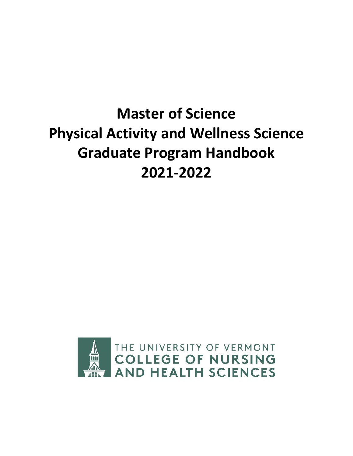# **Master of Science Physical Activity and Wellness Science Graduate Program Handbook 2021-2022**

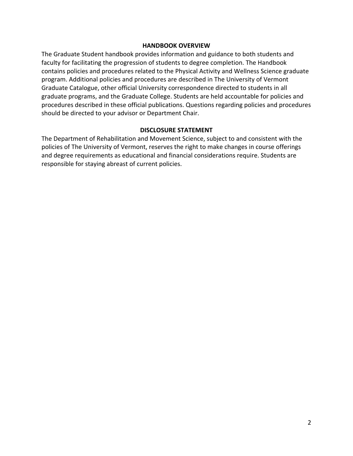#### **HANDBOOK OVERVIEW**

The Graduate Student handbook provides information and guidance to both students and faculty for facilitating the progression of students to degree completion. The Handbook contains policies and procedures related to the Physical Activity and Wellness Science graduate program. Additional policies and procedures are described in The University of Vermont Graduate Catalogue, other official University correspondence directed to students in all graduate programs, and the Graduate College. Students are held accountable for policies and procedures described in these official publications. Questions regarding policies and procedures should be directed to your advisor or Department Chair.

#### **DISCLOSURE STATEMENT**

The Department of Rehabilitation and Movement Science, subject to and consistent with the policies of The University of Vermont, reserves the right to make changes in course offerings and degree requirements as educational and financial considerations require. Students are responsible for staying abreast of current policies.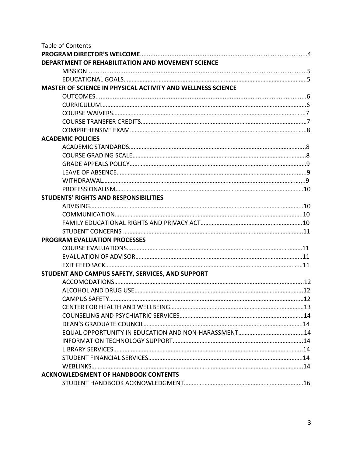| <b>Table of Contents</b>                                    |  |
|-------------------------------------------------------------|--|
|                                                             |  |
| DEPARTMENT OF REHABILITATION AND MOVEMENT SCIENCE           |  |
|                                                             |  |
|                                                             |  |
| MASTER OF SCIENCE IN PHYSICAL ACTIVITY AND WELLNESS SCIENCE |  |
|                                                             |  |
|                                                             |  |
|                                                             |  |
|                                                             |  |
|                                                             |  |
| <b>ACADEMIC POLICIES</b>                                    |  |
|                                                             |  |
|                                                             |  |
|                                                             |  |
|                                                             |  |
|                                                             |  |
|                                                             |  |
| <b>STUDENTS' RIGHTS AND RESPONSIBILITIES</b>                |  |
|                                                             |  |
|                                                             |  |
|                                                             |  |
|                                                             |  |
| <b>PROGRAM EVALUATION PROCESSES</b>                         |  |
|                                                             |  |
|                                                             |  |
|                                                             |  |
| STUDENT AND CAMPUS SAFETY, SERVICES, AND SUPPORT            |  |
|                                                             |  |
|                                                             |  |
|                                                             |  |
|                                                             |  |
|                                                             |  |
|                                                             |  |
|                                                             |  |
|                                                             |  |
|                                                             |  |
|                                                             |  |
|                                                             |  |
| <b>ACKNOWLEDGMENT OF HANDBOOK CONTENTS</b>                  |  |
|                                                             |  |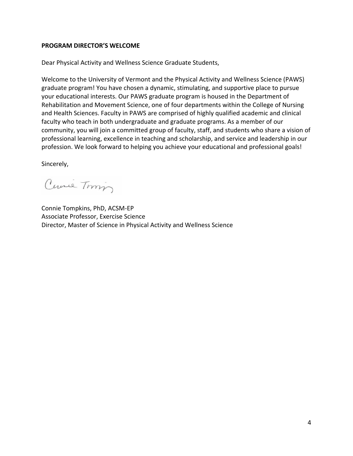#### **PROGRAM DIRECTOR'S WELCOME**

Dear Physical Activity and Wellness Science Graduate Students,

Welcome to the University of Vermont and the Physical Activity and Wellness Science (PAWS) graduate program! You have chosen a dynamic, stimulating, and supportive place to pursue your educational interests. Our PAWS graduate program is housed in the Department of Rehabilitation and Movement Science, one of four departments within the College of Nursing and Health Sciences. Faculty in PAWS are comprised of highly qualified academic and clinical faculty who teach in both undergraduate and graduate programs. As a member of our community, you will join a committed group of faculty, staff, and students who share a vision of professional learning, excellence in teaching and scholarship, and service and leadership in our profession. We look forward to helping you achieve your educational and professional goals!

Sincerely,

Curil Tomin

Connie Tompkins, PhD, ACSM-EP Associate Professor, Exercise Science Director, Master of Science in Physical Activity and Wellness Science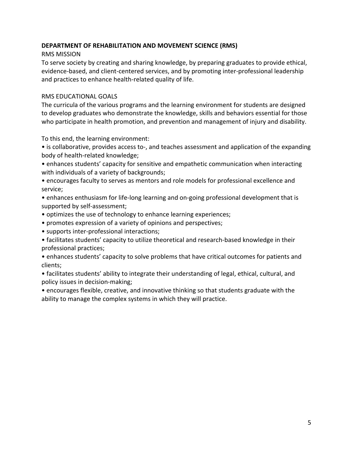## **DEPARTMENT OF REHABILITATION AND MOVEMENT SCIENCE (RMS)**

## RMS MISSION

To serve society by creating and sharing knowledge, by preparing graduates to provide ethical, evidence-based, and client-centered services, and by promoting inter-professional leadership and practices to enhance health-related quality of life.

## RMS EDUCATIONAL GOALS

The curricula of the various programs and the learning environment for students are designed to develop graduates who demonstrate the knowledge, skills and behaviors essential for those who participate in health promotion, and prevention and management of injury and disability.

To this end, the learning environment:

• is collaborative, provides access to-, and teaches assessment and application of the expanding body of health-related knowledge;

• enhances students' capacity for sensitive and empathetic communication when interacting with individuals of a variety of backgrounds;

• encourages faculty to serves as mentors and role models for professional excellence and service;

• enhances enthusiasm for life-long learning and on-going professional development that is supported by self-assessment;

- optimizes the use of technology to enhance learning experiences;
- promotes expression of a variety of opinions and perspectives;
- supports inter-professional interactions;
- facilitates students' capacity to utilize theoretical and research-based knowledge in their professional practices;

• enhances students' capacity to solve problems that have critical outcomes for patients and clients;

• facilitates students' ability to integrate their understanding of legal, ethical, cultural, and policy issues in decision-making;

• encourages flexible, creative, and innovative thinking so that students graduate with the ability to manage the complex systems in which they will practice.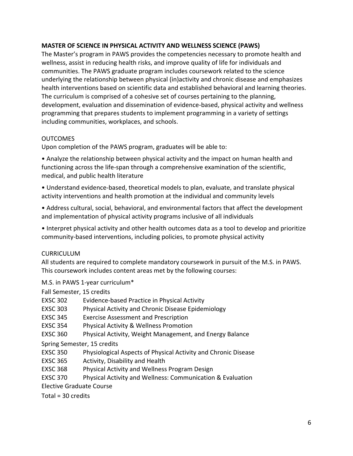## **MASTER OF SCIENCE IN PHYSICAL ACTIVITY AND WELLNESS SCIENCE (PAWS)**

The Master's program in PAWS provides the competencies necessary to promote health and wellness, assist in reducing health risks, and improve quality of life for individuals and communities. The PAWS graduate program includes coursework related to the science underlying the relationship between physical (in)activity and chronic disease and emphasizes health interventions based on scientific data and established behavioral and learning theories. The curriculum is comprised of a cohesive set of courses pertaining to the planning, development, evaluation and dissemination of evidence-based, physical activity and wellness programming that prepares students to implement programming in a variety of settings including communities, workplaces, and schools.

#### OUTCOMES

Upon completion of the PAWS program, graduates will be able to:

• Analyze the relationship between physical activity and the impact on human health and functioning across the life-span through a comprehensive examination of the scientific, medical, and public health literature

• Understand evidence-based, theoretical models to plan, evaluate, and translate physical activity interventions and health promotion at the individual and community levels

• Address cultural, social, behavioral, and environmental factors that affect the development and implementation of physical activity programs inclusive of all individuals

• Interpret physical activity and other health outcomes data as a tool to develop and prioritize community-based interventions, including policies, to promote physical activity

## **CURRICULUM**

All students are required to complete mandatory coursework in pursuit of the M.S. in PAWS. This coursework includes content areas met by the following courses:

## M.S. in PAWS 1-year curriculum\*

Fall Semester, 15 credits

- EXSC 302 Evidence-based Practice in Physical Activity
- EXSC 303 Physical Activity and Chronic Disease Epidemiology
- EXSC 345 Exercise Assessment and Prescription
- EXSC 354 Physical Activity & Wellness Promotion
- EXSC 360 Physical Activity, Weight Management, and Energy Balance

Spring Semester, 15 credits

- EXSC 350 Physiological Aspects of Physical Activity and Chronic Disease
- EXSC 365 Activity, Disability and Health
- EXSC 368 Physical Activity and Wellness Program Design
- EXSC 370 Physical Activity and Wellness: Communication & Evaluation

Elective Graduate Course

Total = 30 credits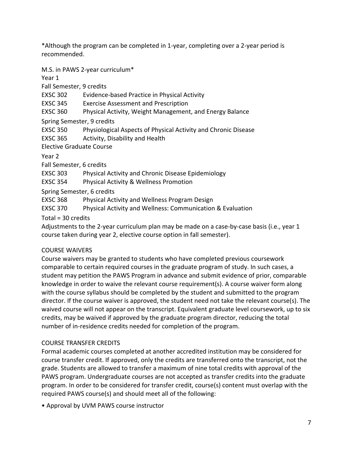\*Although the program can be completed in 1-year, completing over a 2-year period is recommended.

M.S. in PAWS 2-year curriculum\*

Year 1

Fall Semester, 9 credits

EXSC 302 Evidence-based Practice in Physical Activity

EXSC 345 Exercise Assessment and Prescription

EXSC 360 Physical Activity, Weight Management, and Energy Balance

Spring Semester, 9 credits

EXSC 350 Physiological Aspects of Physical Activity and Chronic Disease

EXSC 365 Activity, Disability and Health

Elective Graduate Course

Year 2

Fall Semester, 6 credits

EXSC 303 Physical Activity and Chronic Disease Epidemiology

EXSC 354 Physical Activity & Wellness Promotion

Spring Semester, 6 credits

EXSC 368 Physical Activity and Wellness Program Design

EXSC 370 Physical Activity and Wellness: Communication & Evaluation

Total = 30 credits

Adjustments to the 2-year curriculum plan may be made on a case-by-case basis (i.e., year 1 course taken during year 2, elective course option in fall semester).

# COURSE WAIVERS

Course waivers may be granted to students who have completed previous coursework comparable to certain required courses in the graduate program of study. In such cases, a student may petition the PAWS Program in advance and submit evidence of prior, comparable knowledge in order to waive the relevant course requirement(s). A course waiver form along with the course syllabus should be completed by the student and submitted to the program director. If the course waiver is approved, the student need not take the relevant course(s). The waived course will not appear on the transcript. Equivalent graduate level coursework, up to six credits, may be waived if approved by the graduate program director, reducing the total number of in-residence credits needed for completion of the program.

# COURSE TRANSFER CREDITS

Formal academic courses completed at another accredited institution may be considered for course transfer credit. If approved, only the credits are transferred onto the transcript, not the grade. Students are allowed to transfer a maximum of nine total credits with approval of the PAWS program. Undergraduate courses are not accepted as transfer credits into the graduate program. In order to be considered for transfer credit, course(s) content must overlap with the required PAWS course(s) and should meet all of the following:

• Approval by UVM PAWS course instructor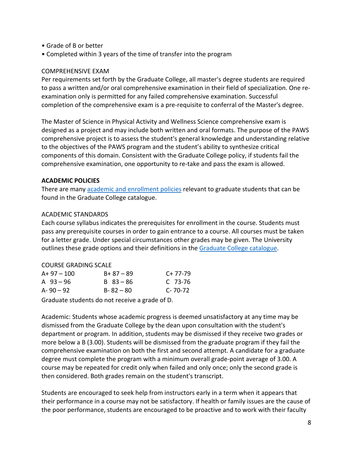- Grade of B or better
- Completed within 3 years of the time of transfer into the program

#### COMPREHENSIVE EXAM

Per requirements set forth by the Graduate College, all master's degree students are required to pass a written and/or oral comprehensive examination in their field of specialization. One reexamination only is permitted for any failed comprehensive examination. Successful completion of the comprehensive exam is a pre-requisite to conferral of the Master's degree.

The Master of Science in Physical Activity and Wellness Science comprehensive exam is designed as a project and may include both written and oral formats. The purpose of the PAWS comprehensive project is to assess the student's general knowledge and understanding relative to the objectives of the PAWS program and the student's ability to synthesize critical components of this domain. Consistent with the Graduate College policy, if students fail the comprehensive examination, one opportunity to re-take and pass the exam is allowed.

#### **ACADEMIC POLICIES**

There are many [academic and](http://catalogue.uvm.edu/graduate/academicenrollment/gradingpolicies/) enrollment policies relevant to graduate students that can be found in the Graduate College catalogue.

#### ACADEMIC STANDARDS

Each course syllabus indicates the prerequisites for enrollment in the course. Students must pass any prerequisite courses in order to gain entrance to a course. All courses must be taken for a letter grade. Under special circumstances other grades may be given. The University outlines these grade options and their definitions in the [Graduate College](http://catalogue.uvm.edu/graduate/academicenrollment/gradingpolicies/) catalogue.

#### COURSE GRADING SCALE

| $A+97-100$  | $B + 87 - 89$ | $C+77-79$     |
|-------------|---------------|---------------|
| A $93 - 96$ | $B$ 83 – 86   | C 73-76       |
| A-90 $-92$  | $B - 82 - 80$ | $C - 70 - 72$ |

Graduate students do not receive a grade of D.

Academic: Students whose academic progress is deemed unsatisfactory at any time may be dismissed from the Graduate College by the dean upon consultation with the student's department or program. In addition, students may be dismissed if they receive two grades or more below a B (3.00). Students will be dismissed from the graduate program if they fail the comprehensive examination on both the first and second attempt. A candidate for a graduate degree must complete the program with a minimum overall grade-point average of 3.00. A course may be repeated for credit only when failed and only once; only the second grade is then considered. Both grades remain on the student's transcript.

Students are encouraged to seek help from instructors early in a term when it appears that their performance in a course may not be satisfactory. If health or family issues are the cause of the poor performance, students are encouraged to be proactive and to work with their faculty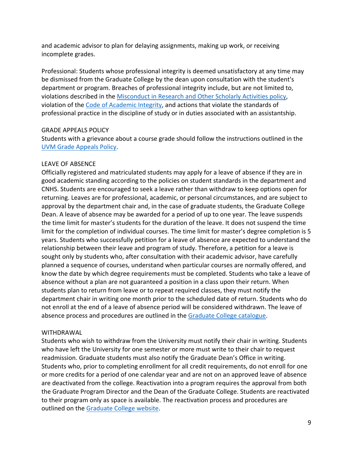and academic advisor to plan for delaying assignments, making up work, or receiving incomplete grades.

Professional: Students whose professional integrity is deemed unsatisfactory at any time may be dismissed from the Graduate College by the dean upon consultation with the student's department or program. Breaches of professional integrity include, but are not limited to, violations described in the [Misconduct in Research and Other Scholarly Activities policy,](https://www.uvm.edu/policies/grants/researchmisconduct.pdf) violation of the [Code of Academic Integrity,](https://www.uvm.edu/policies/student/acadintegrity.pdf) and actions that violate the standards of professional practice in the discipline of study or in duties associated with an assistantship.

#### GRADE APPEALS POLICY

Students with a grievance about a course grade should follow the instructions outlined in the [UVM Grade Appeals Policy.](http://www.uvm.edu/policies/student/gradeappeals.pdf)

#### LEAVE OF ABSENCE

Officially registered and matriculated students may apply for a leave of absence if they are in good academic standing according to the policies on student standards in the department and CNHS. Students are encouraged to seek a leave rather than withdraw to keep options open for returning. Leaves are for professional, academic, or personal circumstances, and are subject to approval by the department chair and, in the case of graduate students, the Graduate College Dean. A leave of absence may be awarded for a period of up to one year. The leave suspends the time limit for master's students for the duration of the leave. It does not suspend the time limit for the completion of individual courses. The time limit for master's degree completion is 5 years. Students who successfully petition for a leave of absence are expected to understand the relationship between their leave and program of study. Therefore, a petition for a leave is sought only by students who, after consultation with their academic advisor, have carefully planned a sequence of courses, understand when particular courses are normally offered, and know the date by which degree requirements must be completed. Students who take a leave of absence without a plan are not guaranteed a position in a class upon their return. When students plan to return from leave or to repeat required classes, they must notify the department chair in writing one month prior to the scheduled date of return. Students who do not enroll at the end of a leave of absence period will be considered withdrawn. The leave of absence process and procedures are outlined in the [Graduate College catalogue.](http://catalogue.uvm.edu/graduate/academicenrollment/leaveofabsence/)

## WITHDRAWAL

Students who wish to withdraw from the University must notify their chair in writing. Students who have left the University for one semester or more must write to their chair to request readmission. Graduate students must also notify the Graduate Dean's Office in writing. Students who, prior to completing enrollment for all credit requirements, do not enroll for one or more credits for a period of one calendar year and are not on an approved leave of absence are deactivated from the college. Reactivation into a program requires the approval from both the Graduate Program Director and the Dean of the Graduate College. Students are reactivated to their program only as space is available. The reactivation process and procedures are outlined on the [Graduate College website.](http://catalogue.uvm.edu/graduate/academicenrollment/deactivationreactivation/)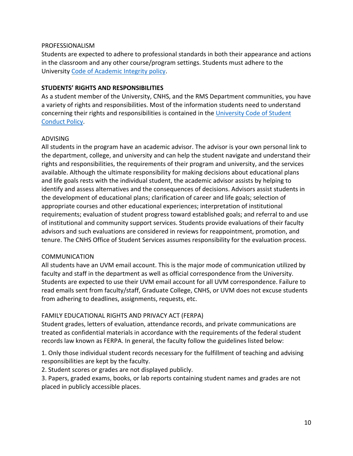#### PROFESSIONALISM

Students are expected to adhere to professional standards in both their appearance and actions in the classroom and any other course/program settings. Students must adhere to the University Code of [Academic Integrity policy.](https://www.uvm.edu/policies/student/acadintegrity.pdf)

#### **STUDENTS' RIGHTS AND RESPONSIBILITIES**

As a student member of the University, CNHS, and the RMS Department communities, you have a variety of rights and responsibilities. Most of the information students need to understand concerning their rights and responsibilities is contained in the [University Code of Student](http://www.uvm.edu/policies/student/studentcode.pdf) [Conduct](http://www.uvm.edu/policies/student/studentcode.pdf) Policy.

#### ADVISING

All students in the program have an academic advisor. The advisor is your own personal link to the department, college, and university and can help the student navigate and understand their rights and responsibilities, the requirements of their program and university, and the services available. Although the ultimate responsibility for making decisions about educational plans and life goals rests with the individual student, the academic advisor assists by helping to identify and assess alternatives and the consequences of decisions. Advisors assist students in the development of educational plans; clarification of career and life goals; selection of appropriate courses and other educational experiences; interpretation of institutional requirements; evaluation of student progress toward established goals; and referral to and use of institutional and community support services. Students provide evaluations of their faculty advisors and such evaluations are considered in reviews for reappointment, promotion, and tenure. The CNHS Office of Student Services assumes responsibility for the evaluation process.

#### COMMUNICATION

All students have an UVM email account. This is the major mode of communication utilized by faculty and staff in the department as well as official correspondence from the University. Students are expected to use their UVM email account for all UVM correspondence. Failure to read emails sent from faculty/staff, Graduate College, CNHS, or UVM does not excuse students from adhering to deadlines, assignments, requests, etc.

## FAMILY EDUCATIONAL RIGHTS AND PRIVACY ACT (FERPA)

Student grades, letters of evaluation, attendance records, and private communications are treated as confidential materials in accordance with the requirements of the federal student records law known as FERPA. In general, the faculty follow the guidelines listed below:

1. Only those individual student records necessary for the fulfillment of teaching and advising responsibilities are kept by the faculty.

2. Student scores or grades are not displayed publicly.

3. Papers, graded exams, books, or lab reports containing student names and grades are not placed in publicly accessible places.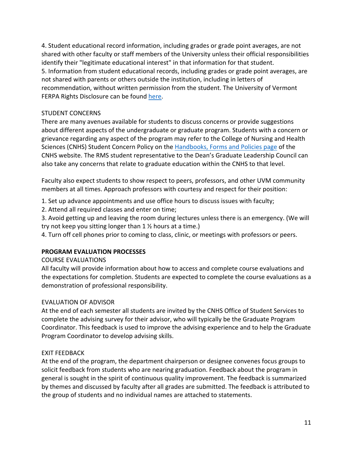4. Student educational record information, including grades or grade point averages, are not shared with other faculty or staff members of the University unless their official responsibilities identify their "legitimate educational interest" in that information for that student. 5. Information from student educational records, including grades or grade point averages, are not shared with parents or others outside the institution, including in letters of recommendation, without written permission from the student. The University of Vermont FERPA Rights Disclosure can be found [here.](http://www.uvm.edu/policies/student/ferpa.pdf)

## STUDENT CONCERNS

There are many avenues available for students to discuss concerns or provide suggestions about different aspects of the undergraduate or graduate program. Students with a concern or grievance regarding any aspect of the program may refer to the College of Nursing and Health Sciences (CNHS) Student Concern Policy on the [Handbooks, Forms and Policies page](https://www.uvm.edu/cnhs/handbooks_forms_and_policies) of the CNHS website. The RMS student representative to the Dean's Graduate Leadership Council can also take any concerns that relate to graduate education within the CNHS to that level.

Faculty also expect students to show respect to peers, professors, and other UVM community members at all times. Approach professors with courtesy and respect for their position:

1. Set up advance appointments and use office hours to discuss issues with faculty;

2. Attend all required classes and enter on time;

3. Avoid getting up and leaving the room during lectures unless there is an emergency. (We will try not keep you sitting longer than 1 ½ hours at a time.)

4. Turn off cell phones prior to coming to class, clinic, or meetings with professors or peers.

# **PROGRAM EVALUATION PROCESSES**

## COURSE EVALUATIONS

All faculty will provide information about how to access and complete course evaluations and the expectations for completion. Students are expected to complete the course evaluations as a demonstration of professional responsibility.

## EVALUATION OF ADVISOR

At the end of each semester all students are invited by the CNHS Office of Student Services to complete the advising survey for their advisor, who will typically be the Graduate Program Coordinator. This feedback is used to improve the advising experience and to help the Graduate Program Coordinator to develop advising skills.

## EXIT FEEDBACK

At the end of the program, the department chairperson or designee convenes focus groups to solicit feedback from students who are nearing graduation. Feedback about the program in general is sought in the spirit of continuous quality improvement. The feedback is summarized by themes and discussed by faculty after all grades are submitted. The feedback is attributed to the group of students and no individual names are attached to statements.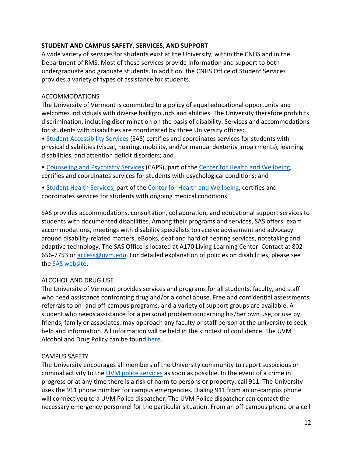#### **STUDENT AND CAMPUS SAFETY, SERVICES, AND SUPPORT**

A wide variety of services for students exist at the University, within the CNHS and in the Department of RMS. Most of these services provide information and support to both undergraduate and graduate students. In addition, the CNHS Office of Student Services provides a variety of types of assistance for students.

#### ACCOMMODATIONS

The University of Vermont is committed to a policy of equal educational opportunity and welcomes individuals with diverse backgrounds and abilities. The University therefore prohibits discrimination, including discrimination on the basis of disability. Services and accommodations for students with disabilities are coordinated by three University offices:

• [Student Accessibility Services](https://www.uvm.edu/academicsuccess/student_accessibility_services) (SAS) certifies and coordinates services for students with physical disabilities (visual, hearing, mobility, and/or manual dexterity impairments), learning disabilities, and attention deficit disorders; and

• [Counseling and Psychiatry Services](https://www.uvm.edu/health/CAPS) (CAPS), part of the [Center for Health and Wellbeing,](https://www.uvm.edu/health) certifies and coordinates services for students with psychological conditions; and

• [Student Health Services,](https://www.uvm.edu/health/SHS) part of the [Center for Health and Wellbeing,](https://www.uvm.edu/health) certifies and coordinates services for students with ongoing medical conditions.

SAS provides accommodations, consultation, collaboration, and educational support services to students with documented disabilities. Among their programs and services, SAS offers: exam accommodations, meetings with disability specialists to receive advisement and advocacy around disability-related matters, eBooks, deaf and hard of hearing services, notetaking and adaptive technology. The SAS Office is located at A170 Living Learning Center. Contact at 802 656-7753 or [access@uvm.edu.](mailto:access@uvm.edu) For detailed explanation of policies on disabilities, please see the SAS [website.](https://www.uvm.edu/academicsuccess/student_accessibility_services)

## ALCOHOL AND DRUG USE

The University of Vermont provides services and programs for all students, faculty, and staff who need assistance confronting drug and/or alcohol abuse. Free and confidential assessments, referrals to on- and off-campus programs, and a variety of support groups are available. A student who needs assistance for a personal problem concerning his/her own use, or use by friends, family or associates, may approach any faculty or staff person at the university to seek help and information. All information will be held in the strictest of confidence. The UVM Alcohol and Drug Policy can be found [here.](http://www.uvm.edu/policies/student/drugandalco.pdf)

## CAMPUS SAFETY

The University encourages all members of the University community to report suspicious or criminal activity to the [UVM police services](https://www.uvm.edu/police) as soon as possible. In the event of a crime in progress or at any time there is a risk of harm to persons or property, call 911. The University uses the 911 phone number for campus emergencies. Dialing 911 from an on-campus phone will connect you to a UVM Police dispatcher. The UVM Police dispatcher can contact the necessary emergency personnel for the particular situation. From an off-campus phone or a cell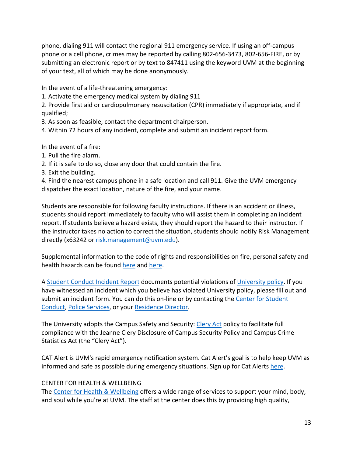phone, dialing 911 will contact the regional 911 emergency service. If using an off-campus phone or a cell phone, crimes may be reported by calling 802-656-3473, 802-656-FIRE, or by submitting an electronic report or by text to 847411 using the keyword UVM at the beginning of your text, all of which may be done anonymously.

In the event of a life-threatening emergency:

1. Activate the emergency medical system by dialing 911

2. Provide first aid or cardiopulmonary resuscitation (CPR) immediately if appropriate, and if qualified;

3. As soon as feasible, contact the department chairperson.

4. Within 72 hours of any incident, complete and submit an incident report form.

In the event of a fire:

- 1. Pull the fire alarm.
- 2. If it is safe to do so, close any door that could contain the fire.
- 3. Exit the building.

4. Find the nearest campus phone in a safe location and call 911. Give the UVM emergency dispatcher the exact location, nature of the fire, and your name.

Students are responsible for following faculty instructions. If there is an accident or illness, students should report immediately to faculty who will assist them in completing an incident report. If students believe a hazard exists, they should report the hazard to their instructor. If the instructor takes no action to correct the situation, students should notify Risk Management directly (x63242 or [risk.management@uvm.edu\)](mailto:risk.management@uvm.edu).

Supplemental information to the code of rights and responsibilities on fire, personal safety and health hazards can be found [here](http://www.uvm.edu/policies/riskmgm/firesafety.pdf) and [here.](http://www.uvm.edu/policies/general_html/personalsafety.pdf)

A [Student Conduct Incident Report](https://www.uvm.edu/sconduct/?Page=incidentreport.html&SM=menu-incident.html) documents potential violations of [University policy.](http://www.uvm.edu/policies/) If you have witnessed an incident which you believe has violated University policy, please fill out and submit an incident form. You can do this on-line or by contacting the [Center for Student](mailto:sconduct@uvm.edu)  [Conduct,](mailto:sconduct@uvm.edu) [Police Services,](http://www.uvm.edu/%7Epolice/) or your [Residence Director.](https://reslife.uvm.edu/files/cms/about_us/RLRET.pdf)

The University adopts the Campus Safety and Security: [Clery Act](http://www.uvm.edu/policies/riskmgm/clery.pdf) policy to facilitate full compliance with the Jeanne Clery Disclosure of Campus Security Policy and Campus Crime Statistics Act (the "Clery Act").

CAT Alert is UVM's rapid emergency notification system. Cat Alert's goal is to help keep UVM as informed and safe as possible during emergency situations. Sign up for Cat Alerts [here.](https://www.uvm.edu/emergency/catalert_campus_alerting_system)

## CENTER FOR HEALTH & WELLBEING

The [Center for Health & Wellbeing](https://www.uvm.edu/health) offers a wide range of services to support your mind, body, and soul while you're at UVM. The staff at the center does this by providing high quality,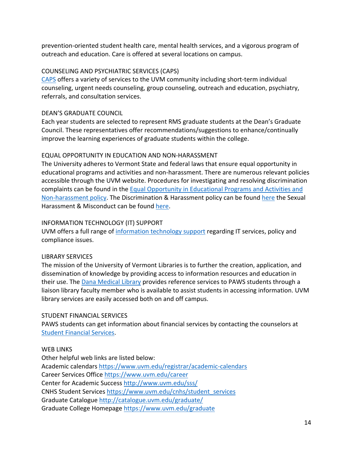prevention-oriented student health care, mental health services, and a vigorous program of outreach and education. Care is offered at several locations on campus.

## COUNSELING AND PSYCHIATRIC SERVICES (CAPS)

[CAPS](https://www.uvm.edu/health/CAPS) offers a variety of services to the UVM community including short-term individual counseling, urgent needs counseling, group counseling, outreach and education, psychiatry, referrals, and consultation services.

## DEAN'S GRADUATE COUNCIL

Each year students are selected to represent RMS graduate students at the Dean's Graduate Council. These representatives offer recommendations/suggestions to enhance/continually improve the learning experiences of graduate students within the college.

# EQUAL OPPORTUNITY IN EDUCATION AND NON-HARASSMENT

The University adheres to Vermont State and federal laws that ensure equal opportunity in educational programs and activities and non-harassment. There are numerous relevant policies accessible through the UVM website. Procedures for investigating and resolving discrimination complaints can be found in the [Equal Opportunity in Educational Programs and Activities and](http://www.uvm.edu/policies/student/equaledu.pdf)  [Non-harassment](http://www.uvm.edu/policies/student/equaledu.pdf) policy. The Discrimination & Harassment policy can be found [here](http://www.uvm.edu/policies/student/studentharas.pdf) the Sexual Harassment & Misconduct can be found [here.](http://www.uvm.edu/policies/general_html/sexharass.pdf)

## INFORMATION TECHNOLOGY (IT) SUPPORT

UVM offers a full range of [information technology support](http://www.uvm.edu/it/) regarding IT services, policy and compliance issues.

# LIBRARY SERVICES

The mission of the University of Vermont Libraries is to further the creation, application, and dissemination of knowledge by providing access to information resources and education in their use. The [Dana Medical Library](https://dana.uvm.edu/) provides reference services to PAWS students through a liaison library faculty member who is available to assist students in accessing information. UVM library services are easily accessed both on and off campus.

## STUDENT FINANCIAL SERVICES

PAWS students can get information about financial services by contacting the counselors at [Student Financial Services.](https://www.uvm.edu/studentfinancialservices)

# WEB LINKS

Other helpful web links are listed below: Academic calendars<https://www.uvm.edu/registrar/academic-calendars> Career Services Office<https://www.uvm.edu/career> Center for Academic Success <http://www.uvm.edu/sss/> CNHS Student Services [https://www.uvm.edu/cnhs/student\\_services](https://www.uvm.edu/cnhs/student_services) Graduate Catalogue <http://catalogue.uvm.edu/graduate/> Graduate College Homepage<https://www.uvm.edu/graduate>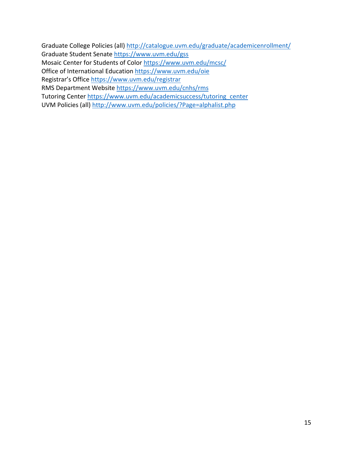Graduate College Policies (all) <http://catalogue.uvm.edu/graduate/academicenrollment/> Graduate Student Senate<https://www.uvm.edu/gss> Mosaic Center for Students of Color<https://www.uvm.edu/mcsc/> Office of International Education<https://www.uvm.edu/oie> Registrar's Office<https://www.uvm.edu/registrar> RMS Department Website<https://www.uvm.edu/cnhs/rms> Tutoring Center [https://www.uvm.edu/academicsuccess/tutoring\\_center](https://www.uvm.edu/academicsuccess/tutoring_center) UVM Policies (all)<http://www.uvm.edu/policies/?Page=alphalist.php>